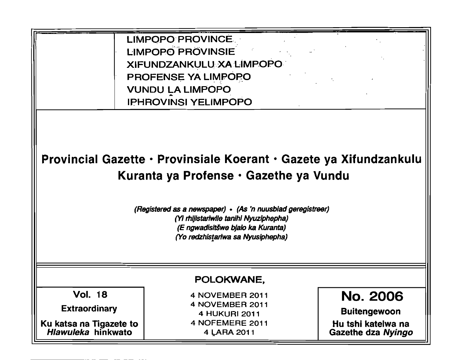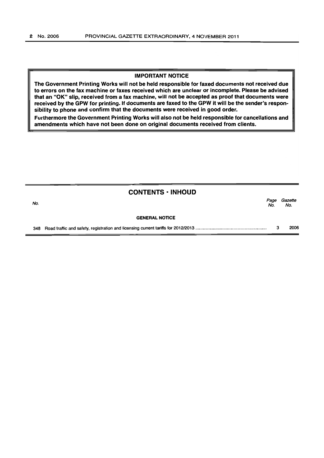#### IMPORTANT NOTICE

The Government Printing Works will not be held responsible for faxed documents not received due to errors on the fax machine or faxes received which are unclear or incomplete. Please be advised that an "OK" Slip, received from a fax machine, will not be accepted as proof that documents were received by the GPW for printing. If documents are faxed to the GPW it will be the sender's responsibility to phone and confirm that the documents were received in good order.

Furthermore the Government Printing Works will also not be held responsible for cancellations and amendments which have not been done on original documents received from clients.

|     | $CONTENTS \cdot INHOUND$ |             |                |
|-----|--------------------------|-------------|----------------|
| No. |                          | Page<br>No. | Gazette<br>No. |
|     | <b>GENERAL NOTICE</b>    |             |                |
| 348 |                          | з           | 2006           |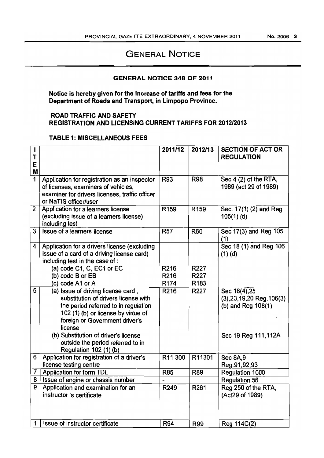# GENERAL NOTICE

### GENERAL NOTICE 348 OF 2011

Notice is hereby given for the increase of tariffs and fees for the Department of Roads and Transport, in Limpopo Province.

## ROAD TRAFFIC AND SAFETY REGISTRATION AND LICENSING CURRENT TARIFFS FOR 2012/2013

### TABLE 1: MISCELLANEOUS FEES

| T<br>E<br>М    |                                                                                                                                                                                                        | 2011/12          | 2012/13          | <b>SECTION OF ACT OR</b><br><b>REGULATION</b>                          |
|----------------|--------------------------------------------------------------------------------------------------------------------------------------------------------------------------------------------------------|------------------|------------------|------------------------------------------------------------------------|
| $\overline{1}$ | Application for registration as an inspector<br>of licenses, examiners of vehicles,<br>examiner for drivers licenses, traffic officer<br>or NaTIS officer/user                                         | R93              | <b>R98</b>       | Sec 4 (2) of the RTA,<br>1989 (act 29 of 1989)                         |
| $\overline{2}$ | Application for a learners license<br>(excluding issue of a learners license)<br>including test                                                                                                        | R <sub>159</sub> | R <sub>159</sub> | Sec. 17(1) (2) and Reg<br>$105(1)$ (d)                                 |
| $\overline{3}$ | Issue of a learners license                                                                                                                                                                            | <b>R57</b>       | <b>R60</b>       | Sec 17(3) and Reg 105<br>(1)                                           |
| 4              | Application for a drivers license (excluding<br>issue of a card of a driving license card)<br>including test in the case of :                                                                          |                  |                  | Sec 18 (1) and Reg 106<br>$(1)$ (d)                                    |
|                | (a) code C1, C, EC1 or EC                                                                                                                                                                              | R216             | R227             |                                                                        |
|                | (b) code B or EB                                                                                                                                                                                       | R <sub>216</sub> | R227             |                                                                        |
|                | (c) code A1 or A                                                                                                                                                                                       | R <sub>174</sub> | R183             |                                                                        |
| 5              | (a) Issue of driving license card,<br>substitution of drivers license with<br>the period referred to in regulation<br>102 (1) (b) or license by virtue of<br>foreign or Government driver's<br>license | R <sub>216</sub> | R227             | Sec 18(4), 25<br>$(3), 23, 19, 20$ Reg. $106(3)$<br>(b) and Reg 108(1) |
|                | (b) Substitution of driver's license<br>outside the period referred to in<br>Regulation 102 (1) (b)                                                                                                    |                  |                  | Sec 19 Reg 111,112A                                                    |
| 6              | Application for registration of a driver's                                                                                                                                                             | R11 300          | R11301           | <b>Sec 8A,9</b>                                                        |
|                | license testing centre                                                                                                                                                                                 |                  |                  | Reg.91,92,93                                                           |
| $\overline{7}$ | <b>Application for form TDL</b>                                                                                                                                                                        | <b>R85</b>       | <b>R89</b>       | Regulation 1000                                                        |
| 8              | Issue of engine or chassis number                                                                                                                                                                      | $\overline{a}$   |                  | <b>Regulation 56</b>                                                   |
| 9              | Application and examination for an<br>instructor 's certificate                                                                                                                                        | R249             | R261             | Reg 250 of the RTA,<br>(Act29 of 1989)                                 |
| 1              | Issue of instructor certificate                                                                                                                                                                        | <b>R94</b>       | <b>R99</b>       | Reg 114C(2)                                                            |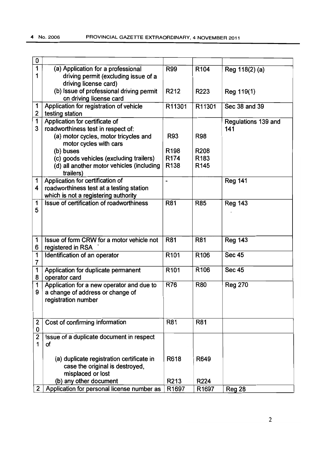| 0            |                                            |                  |                   |                     |
|--------------|--------------------------------------------|------------------|-------------------|---------------------|
| 1            | (a) Application for a professional         | R99              | R <sub>104</sub>  | Reg 118(2) (a)      |
| 1            | driving permit (excluding issue of a       |                  |                   |                     |
|              | driving license card)                      |                  |                   |                     |
|              | (b) Issue of professional driving permit   | R212             | R223              | Reg 119(1)          |
|              | on driving license card                    |                  |                   |                     |
| 1            | Application for registration of vehicle    | R11301           | R11301            | Sec 38 and 39       |
| 2            | testing station                            |                  |                   |                     |
| 1            | Application for certificate of             |                  |                   | Regulations 139 and |
| 3            | roadworthiness test in respect of:         |                  |                   | 141                 |
|              | (a) motor cycles, motor tricycles and      | R93              | <b>R98</b>        |                     |
|              | motor cycles with cars                     |                  |                   |                     |
|              | (b) buses                                  | R <sub>198</sub> | R208              |                     |
|              | (c) goods vehicles (excluding trailers)    | R <sub>174</sub> | R183              |                     |
|              | (d) all another motor vehicles (including  | R <sub>138</sub> | R <sub>145</sub>  |                     |
|              | trailers)                                  |                  |                   |                     |
| 1            | Application for certification of           |                  |                   | <b>Reg 141</b>      |
| 4            | roadworthiness test at a testing station   |                  |                   |                     |
|              | which is not a registering authority       |                  |                   |                     |
| 1            | Issue of certification of roadworthiness   | R81              | <b>R85</b>        | <b>Reg 143</b>      |
| 5            |                                            |                  |                   |                     |
|              |                                            |                  |                   |                     |
|              |                                            |                  |                   |                     |
|              |                                            |                  |                   |                     |
| 1            | Issue of form CRW for a motor vehicle not  | R81              | R81               | <b>Reg 143</b>      |
| 6            | registered in RSA                          |                  |                   |                     |
| 1            | Identification of an operator              | R <sub>101</sub> | R <sub>106</sub>  | <b>Sec 45</b>       |
| 7            |                                            |                  |                   |                     |
| 1            | Application for duplicate permanent        | R <sub>101</sub> | R <sub>106</sub>  | <b>Sec 45</b>       |
| 8            | operator card                              |                  |                   |                     |
| 1            | Application for a new operator and due to  | <b>R76</b>       | R80               | <b>Reg 270</b>      |
| 9            | a change of address or change of           |                  |                   |                     |
|              | registration number                        |                  |                   |                     |
|              |                                            |                  |                   |                     |
|              |                                            |                  |                   |                     |
| 2            | Cost of confirming information             | R81              | <b>R81</b>        |                     |
| 0            |                                            |                  |                   |                     |
| 2            | Issue of a duplicate document in respect   |                  |                   |                     |
| 1            | οf                                         |                  |                   |                     |
|              |                                            |                  |                   |                     |
|              | (a) duplicate registration certificate in  | R618             | R649              |                     |
|              | case the original is destroyed,            |                  |                   |                     |
|              | misplaced or lost                          |                  |                   |                     |
|              | (b) any other document                     | R213             | R224              |                     |
| $\mathbf{2}$ | Application for personal license number as | R1697            | R <sub>1697</sub> | <b>Reg 28</b>       |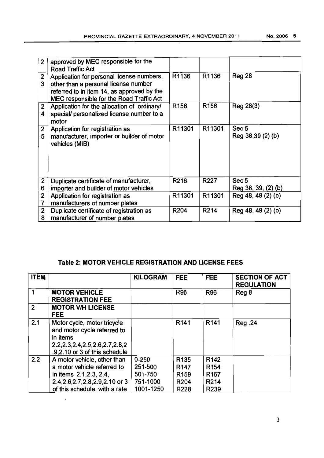| $\overline{2}$      | approved by MEC responsible for the<br><b>Road Traffic Act</b>                                                                                                              |                  |                  |                                         |
|---------------------|-----------------------------------------------------------------------------------------------------------------------------------------------------------------------------|------------------|------------------|-----------------------------------------|
| $\mathbf{2}$<br>3   | Application for personal license numbers,<br>other than a personal license number<br>referred to in item 14, as approved by the<br>MEC responsible for the Road Traffic Act | R1136            | R1136            | <b>Reg 28</b>                           |
| $\mathbf{2}$<br>4   | Application for the allocation of ordinary/<br>special/ personalized license number to a<br>motor                                                                           | R <sub>156</sub> | R <sub>156</sub> | Reg 28(3)                               |
| 2<br>5              | Application for registration as<br>manufacturer, importer or builder of motor<br>vehicles (MIB)                                                                             | R11301           | R11301           | Sec <sub>5</sub><br>Reg 38,39 (2) (b)   |
| 2<br>6              | Duplicate certificate of manufacturer,<br>importer and builder of motor vehicles                                                                                            | R <sub>216</sub> | R227             | Sec <sub>5</sub><br>Reg 38, 39, (2) (b) |
| $\overline{2}$<br>7 | Application for registration as<br>manufacturers of number plates                                                                                                           | R11301           | R11301           | Reg 48, 49 (2) (b)                      |
| $\overline{2}$<br>8 | Duplicate certificate of registration as<br>manufacturer of number plates                                                                                                   | R204             | R214             | Reg 48, 49 (2) (b)                      |

# **Table 2:** MOTOR VEHICLE **REGISTRATION AND LICENSE FEES**

| <b>ITEM</b>    |                                                                                                                                                              | <b>KILOGRAM</b>                                          | <b>FEE</b>                                                                           | <b>FEE</b>                                                                                        | <b>SECTION OF ACT</b><br><b>REGULATION</b> |
|----------------|--------------------------------------------------------------------------------------------------------------------------------------------------------------|----------------------------------------------------------|--------------------------------------------------------------------------------------|---------------------------------------------------------------------------------------------------|--------------------------------------------|
|                | <b>MOTOR VEHICLE</b><br><b>REGISTRATION FEE</b>                                                                                                              |                                                          | <b>R96</b>                                                                           | <b>R96</b>                                                                                        | Reg 8                                      |
| $\overline{2}$ | <b>MOTOR V/H LICENSE</b><br><b>FEE</b>                                                                                                                       |                                                          |                                                                                      |                                                                                                   |                                            |
| 2.1            | Motor cycle, motor tricycle<br>and motor cycle referred to<br>in items<br>2.2, 2.3, 2.4, 2.5, 2.6, 2.7, 2.8, 2<br>.9,2.10 or 3 of this schedule              |                                                          | R <sub>141</sub>                                                                     | R <sub>141</sub>                                                                                  | <b>Reg.24</b>                              |
| 2.2            | A motor vehicle, other than<br>a motor vehicle referred to<br>in items 2.1, 2.3, 2.4,<br>2.4, 2.6, 2.7, 2.8, 2.9, 2.10 or 3<br>of this schedule, with a rate | $0 - 250$<br>251-500<br>501-750<br>751-1000<br>1001-1250 | R <sub>135</sub><br>R <sub>147</sub><br>R <sub>159</sub><br>R <sub>204</sub><br>R228 | R <sub>142</sub><br>R <sub>154</sub><br>R <sub>167</sub><br>R <sub>2</sub> 14<br>R <sub>239</sub> |                                            |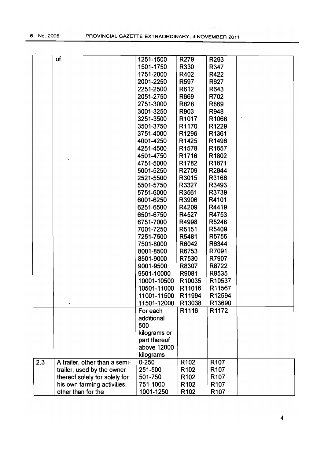$\ddot{\phantom{a}}$ 

|     | of                            | 1251-1500    | R279              | R293              |  |
|-----|-------------------------------|--------------|-------------------|-------------------|--|
|     |                               | 1501-1750    | R330              | R347              |  |
|     |                               | 1751-2000    | R402              | R422              |  |
|     |                               | 2001-2250    | R597              | R627              |  |
|     |                               | 2251-2500    | R612              | R643              |  |
|     |                               | 2051-2750    | R669              | R702              |  |
|     |                               | 2751-3000    | R828              | R869              |  |
|     |                               | 3001-3250    | R903              | R948              |  |
|     |                               | 3251-3500    | R1017             | R1068             |  |
|     |                               | 3501-3750    | R1170             | R1229             |  |
|     |                               | 3751-4000    | R1296             | R1361             |  |
|     |                               | 4001-4250    | R1425             | R1496             |  |
|     |                               | 4251-4500    | R <sub>1578</sub> | R <sub>1657</sub> |  |
|     |                               | 4501-4750    | R1716             | R1802             |  |
|     |                               | 4751-5000    | R1782             | R <sub>1871</sub> |  |
|     |                               | 5001-5250    | R2709             | R2844             |  |
|     |                               | 2521-5500    | R3015             | R3166             |  |
|     |                               | 5501-5750    | R3327             | R3493             |  |
|     |                               | 5751-6000    | R3561             | R3739             |  |
|     |                               | 6001-6250    | R3906             | R4101             |  |
|     |                               | 6251-6500    | R4209             | R4419             |  |
|     |                               | 6501-6750    | R4527             | R4753             |  |
|     |                               | 6751-7000    | R4998             | R5248             |  |
|     |                               | 7001-7250    | R5151             | R5409             |  |
|     |                               | 7251-7500    | R5481             | R5755             |  |
|     |                               | 7501-8000    | R6042             | R6344             |  |
|     |                               | 8001-8500    | R6753             | R7091             |  |
|     |                               | 8501-9000    | R7530             | R7907             |  |
|     |                               | 9001-9500    | R8307             | R8722             |  |
|     |                               | 9501-10000   | R9081             | R9535             |  |
|     |                               | 10001-10500  | R10035            | R10537            |  |
|     |                               | 10501-11000  | R11016            | R11567            |  |
|     |                               | 11001-11500  | R11994            | R12594            |  |
|     |                               | 11501-12000  | R13038            | R13690            |  |
|     |                               | For each     | R1116             | R1172             |  |
|     |                               | additional   |                   |                   |  |
|     |                               | 500          |                   |                   |  |
|     |                               | kilograms or |                   |                   |  |
|     |                               | part thereof |                   |                   |  |
|     |                               | above 12000  |                   |                   |  |
|     |                               |              |                   |                   |  |
|     |                               | kilograms    | R <sub>102</sub>  | R <sub>107</sub>  |  |
| 2.3 | A trailer, other than a semi- | $0 - 250$    |                   |                   |  |
|     | trailer, used by the owner    | 251-500      | R <sub>102</sub>  | R <sub>107</sub>  |  |
|     | thereof solely for solely for | 501-750      | R <sub>102</sub>  | R <sub>107</sub>  |  |
|     | his own farming activities,   | 751-1000     | R <sub>102</sub>  | R <sub>107</sub>  |  |
|     | other than for the            | 1001-1250    | R <sub>102</sub>  | R <sub>107</sub>  |  |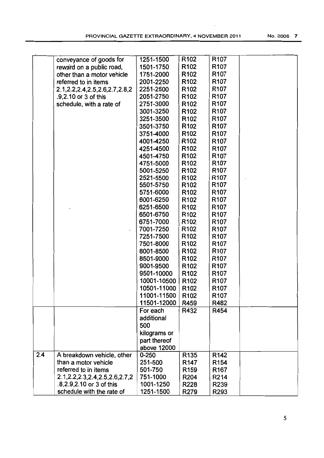|     | conveyance of goods for              | 1251-1500    | R <sub>102</sub> | R <sub>107</sub> |  |
|-----|--------------------------------------|--------------|------------------|------------------|--|
|     | reward on a public road,             | 1501-1750    | R <sub>102</sub> | R <sub>107</sub> |  |
|     | other than a motor vehicle           | 1751-2000    | R <sub>102</sub> | R <sub>107</sub> |  |
|     | referred to in items                 | 2001-2250    | R <sub>102</sub> | R <sub>107</sub> |  |
|     | 2.1, 2.2, 2.4, 2.5, 2.6, 2.7, 2.8, 2 | 2251-2500    | R <sub>102</sub> | R <sub>107</sub> |  |
|     | .9,2.10 or 3 of this                 | 2051-2750    | R <sub>102</sub> | R <sub>107</sub> |  |
|     | schedule, with a rate of             | 2751-3000    | R <sub>102</sub> | R <sub>107</sub> |  |
|     |                                      | 3001-3250    | R <sub>102</sub> | R <sub>107</sub> |  |
|     |                                      | 3251-3500    | R <sub>102</sub> | R <sub>107</sub> |  |
|     |                                      | 3501-3750    | R <sub>102</sub> | R <sub>107</sub> |  |
|     |                                      | 3751-4000    | R <sub>102</sub> | R <sub>107</sub> |  |
|     |                                      | 4001-4250    | R <sub>102</sub> | R <sub>107</sub> |  |
|     |                                      | 4251-4500    | R <sub>102</sub> | R <sub>107</sub> |  |
|     |                                      | 4501-4750    | R <sub>102</sub> | R <sub>107</sub> |  |
|     |                                      | 4751-5000    | R <sub>102</sub> | R <sub>107</sub> |  |
|     |                                      | 5001-5250    | R <sub>102</sub> | R <sub>107</sub> |  |
|     |                                      | 2521-5500    | R <sub>102</sub> | R <sub>107</sub> |  |
|     |                                      | 5501-5750    | R <sub>102</sub> | R <sub>107</sub> |  |
|     |                                      | 5751-6000    | R <sub>102</sub> | R <sub>107</sub> |  |
|     |                                      | 6001-6250    | R <sub>102</sub> | R <sub>107</sub> |  |
|     |                                      | 6251-6500    | R <sub>102</sub> | R <sub>107</sub> |  |
|     |                                      | 6501-6750    | R <sub>102</sub> | R <sub>107</sub> |  |
|     |                                      | 6751-7000    | R <sub>102</sub> | R <sub>107</sub> |  |
|     |                                      | 7001-7250    | R <sub>102</sub> | R <sub>107</sub> |  |
|     |                                      | 7251-7500    | R <sub>102</sub> | R <sub>107</sub> |  |
|     |                                      | 7501-8000    | R <sub>102</sub> | R <sub>107</sub> |  |
|     |                                      |              |                  |                  |  |
|     |                                      | 8001-8500    | R <sub>102</sub> | R <sub>107</sub> |  |
|     |                                      | 8501-9000    | R <sub>102</sub> | R <sub>107</sub> |  |
|     |                                      | 9001-9500    | R <sub>102</sub> | R <sub>107</sub> |  |
|     |                                      | 9501-10000   | R <sub>102</sub> | R <sub>107</sub> |  |
|     |                                      | 10001-10500  | R <sub>102</sub> | R <sub>107</sub> |  |
|     |                                      | 10501-11000  | R <sub>102</sub> | R <sub>107</sub> |  |
|     |                                      | 11001-11500  | R <sub>102</sub> | R <sub>107</sub> |  |
|     |                                      | 11501-12000  | R459             | R482             |  |
|     |                                      | For each     | R432             | R454             |  |
|     |                                      | additional   |                  |                  |  |
|     |                                      | 500          |                  |                  |  |
|     |                                      | kilograms or |                  |                  |  |
|     |                                      | part thereof |                  |                  |  |
|     |                                      | above 12000  |                  |                  |  |
| 2.4 | A breakdown vehicle, other           | $0 - 250$    | R <sub>135</sub> | R <sub>142</sub> |  |
|     | than a motor vehicle                 | 251-500      | R <sub>147</sub> | R <sub>154</sub> |  |
|     | referred to in items                 | 501-750      | R <sub>159</sub> | R <sub>167</sub> |  |
|     | 2.1, 2.2, 2.3, 2.4, 2.5, 2.6, 2.7, 2 | 751-1000     | R204             | R214             |  |
|     | .8,2.9,2.10 or 3 of this             | 1001-1250    | R228             | R239             |  |
|     | schedule with the rate of            | 1251-1500    | R279             | R293             |  |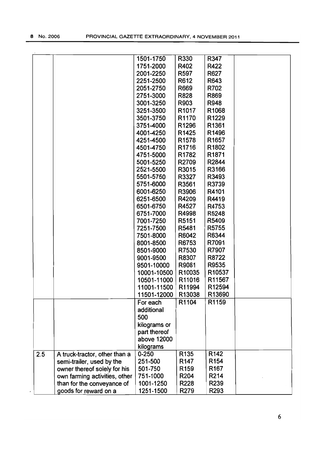|     |                               | 1501-1750    | R330              | R347              |  |
|-----|-------------------------------|--------------|-------------------|-------------------|--|
|     |                               | 1751-2000    | R402              | R422              |  |
|     |                               | 2001-2250    | R597              | R627              |  |
|     |                               | 2251-2500    | R612              | R643              |  |
|     |                               | 2051-2750    | R669              | R702              |  |
|     |                               | 2751-3000    | R828              | R869              |  |
|     |                               | 3001-3250    | R903              | R948              |  |
|     |                               | 3251-3500    | R <sub>1017</sub> | R1068             |  |
|     |                               | 3501-3750    | R1170             | R1229             |  |
|     |                               |              |                   |                   |  |
|     |                               | 3751-4000    | R1296             | R1361             |  |
|     |                               | 4001-4250    | R1425             | R1496             |  |
|     |                               | 4251-4500    | R <sub>1578</sub> | R <sub>1657</sub> |  |
|     |                               | 4501-4750    | R <sub>1716</sub> | R1802             |  |
|     |                               | 4751-5000    | R1782             | R1871             |  |
|     |                               | 5001-5250    | R2709             | R2844             |  |
|     |                               | 2521-5500    | R3015             | R3166             |  |
|     |                               | 5501-5750    | R3327             | R3493             |  |
|     |                               | 5751-6000    | R3561             | R3739             |  |
|     |                               | 6001-6250    | R3906             | R4101             |  |
|     |                               | 6251-6500    | R4209             | R4419             |  |
|     |                               | 6501-6750    | R4527             | R4753             |  |
|     |                               | 6751-7000    | R4998             | R5248             |  |
|     |                               | 7001-7250    | R5151             | R5409             |  |
|     |                               | 7251-7500    | R5481             | R5755             |  |
|     |                               | 7501-8000    | R6042             | R6344             |  |
|     |                               | 8001-8500    | R6753             | R7091             |  |
|     |                               | 8501-9000    | R7530             | R7907             |  |
|     |                               |              |                   | R8722             |  |
|     |                               | 9001-9500    | R8307             |                   |  |
|     |                               | 9501-10000   | R9081             | R9535             |  |
|     |                               | 10001-10500  | R10035            | R10537            |  |
|     |                               | 10501-11000  | R11016            | R11567            |  |
|     |                               | 11001-11500  | R11994            | R12594            |  |
|     |                               | 11501-12000  | R13038            | R13690            |  |
|     |                               | For each     | R1104             | R1159             |  |
|     |                               | additional   |                   |                   |  |
|     |                               | 500          |                   |                   |  |
|     |                               | kilograms or |                   |                   |  |
|     |                               | part thereof |                   |                   |  |
|     |                               | above 12000  |                   |                   |  |
|     |                               | kilograms    |                   |                   |  |
| 2.5 | A truck-tractor, other than a | $0 - 250$    | R <sub>135</sub>  | R <sub>142</sub>  |  |
|     | semi-trailer, used by the     | 251-500      | R <sub>147</sub>  | R <sub>154</sub>  |  |
|     | owner thereof solely for his  | 501-750      | R <sub>159</sub>  | R <sub>167</sub>  |  |
|     | own farming activities, other | 751-1000     | R204              | R214              |  |
|     | than for the conveyance of    | 1001-1250    | R228              | R239              |  |
|     | goods for reward on a         | 1251-1500    | R279              | R293              |  |
|     |                               |              |                   |                   |  |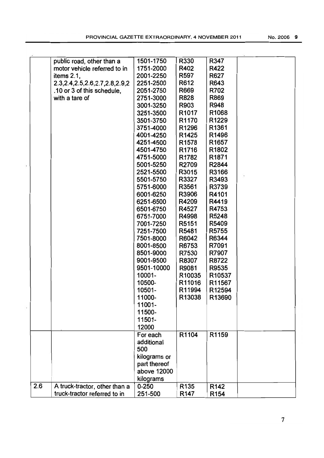|     | public road, other than a            | 1501-1750    | R330              | R347              |  |
|-----|--------------------------------------|--------------|-------------------|-------------------|--|
|     | motor vehicle referred to in         | 1751-2000    | R402              | R422              |  |
|     | items $2.1$ ,                        | 2001-2250    | R597              | R627              |  |
|     | 2.3, 2.4, 2.5, 2.6, 2.7, 2.8, 2.9, 2 | 2251-2500    | R612              | R643              |  |
|     | .10 or 3 of this schedule,           | 2051-2750    | R669              | R702              |  |
|     | with a tare of                       | 2751-3000    | R828              | R869              |  |
|     |                                      | 3001-3250    | R903              | R948              |  |
|     |                                      | 3251-3500    | R <sub>1017</sub> | R1068             |  |
|     |                                      | 3501-3750    | R1170             | R1229             |  |
|     |                                      | 3751-4000    | R1296             | R1361             |  |
|     |                                      |              |                   |                   |  |
|     |                                      | 4001-4250    | R1425             | R1496             |  |
|     |                                      | 4251-4500    | R <sub>1578</sub> | R <sub>1657</sub> |  |
|     |                                      | 4501-4750    | R <sub>1716</sub> | R1802             |  |
|     |                                      | 4751-5000    | R1782             | R1871             |  |
|     |                                      | 5001-5250    | R2709             | R2844             |  |
|     |                                      | 2521-5500    | R3015             | R3166             |  |
|     |                                      | 5501-5750    | R3327             | R3493             |  |
|     |                                      | 5751-6000    | R3561             | R3739             |  |
|     |                                      | 6001-6250    | R3906             | R4101             |  |
|     |                                      | 6251-6500    | R4209             | R4419             |  |
|     |                                      | 6501-6750    | R4527             | R4753             |  |
|     |                                      | 6751-7000    | R4998             | R5248             |  |
|     |                                      | 7001-7250    | R5151             | R5409             |  |
|     |                                      | 7251-7500    | R5481             | R5755             |  |
|     |                                      | 7501-8000    | R6042             | R6344             |  |
|     |                                      | 8001-8500    | R6753             | R7091             |  |
|     |                                      | 8501-9000    | R7530             | R7907             |  |
|     |                                      | 9001-9500    | R8307             | R8722             |  |
|     |                                      | 9501-10000   | R9081             | R9535             |  |
|     |                                      | 10001-       | R10035            | R10537            |  |
|     |                                      |              |                   | R11567            |  |
|     |                                      | 10500-       | R11016            |                   |  |
|     |                                      | 10501-       | R11994            | R12594            |  |
|     |                                      | 11000-       | R13038            | R13690            |  |
|     |                                      | 11001-       |                   |                   |  |
|     |                                      | 11500-       |                   |                   |  |
|     |                                      | 11501-       |                   |                   |  |
|     |                                      | 12000        |                   |                   |  |
|     |                                      | For each     | R1104             | R1159             |  |
|     |                                      | additional   |                   |                   |  |
|     |                                      | 500          |                   |                   |  |
|     |                                      | kilograms or |                   |                   |  |
|     |                                      | part thereof |                   |                   |  |
|     |                                      | above 12000  |                   |                   |  |
|     |                                      | kilograms    |                   |                   |  |
| 2.6 | A truck-tractor, other than a        | $0 - 250$    | R <sub>135</sub>  | R142              |  |
|     | truck-tractor referred to in         | 251-500      | R <sub>147</sub>  | R <sub>154</sub>  |  |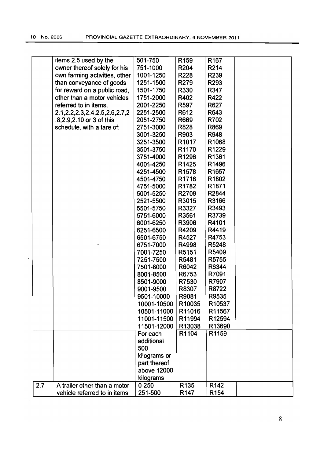|     | items 2.5 used by the                | 501-750      | R <sub>159</sub>  | R <sub>167</sub> |  |
|-----|--------------------------------------|--------------|-------------------|------------------|--|
|     | owner thereof solely for his         | 751-1000     | <b>R204</b>       | R214             |  |
|     | own farming activities, other        | 1001-1250    | <b>R228</b>       | R239             |  |
|     | than conveyance of goods             | 1251-1500    | R279              | R293             |  |
|     | for reward on a public road,         | 1501-1750    | R330              | R347             |  |
|     | other than a motor vehicles          | 1751-2000    | R402              | R422             |  |
|     | referred to in items,                | 2001-2250    | R <sub>597</sub>  | R627             |  |
|     | 2.1, 2.2, 2.3, 2.4, 2.5, 2.6, 2.7, 2 | 2251-2500    | R612              | R643             |  |
|     | .8,2.9,2.10 or 3 of this             | 2051-2750    | R669              | R702             |  |
|     | schedule, with a tare of:            | 2751-3000    | <b>R828</b>       | R869             |  |
|     |                                      | 3001-3250    | R903              | R948             |  |
|     |                                      | 3251-3500    | R <sub>1017</sub> | R1068            |  |
|     |                                      |              | R1170             |                  |  |
|     |                                      | 3501-3750    |                   | R1229            |  |
|     |                                      | 3751-4000    | R1296             | R1361            |  |
|     |                                      | 4001-4250    | R1425             | R1496            |  |
|     |                                      | 4251-4500    | R <sub>1578</sub> | R1657            |  |
|     |                                      | 4501-4750    | R <sub>1716</sub> | R1802            |  |
|     |                                      | 4751-5000    | R1782             | R1871            |  |
|     |                                      | 5001-5250    | R2709             | R2844            |  |
|     |                                      | 2521-5500    | R3015             | R3166            |  |
|     |                                      | 5501-5750    | R3327             | R3493            |  |
|     |                                      | 5751-6000    | R3561             | R3739            |  |
|     |                                      | 6001-6250    | R3906             | R4101            |  |
|     |                                      | 6251-6500    | R4209             | R4419            |  |
|     |                                      | 6501-6750    | R4527             | R4753            |  |
|     |                                      | 6751-7000    | R4998             | R5248            |  |
|     |                                      | 7001-7250    | R5151             | R5409            |  |
|     |                                      | 7251-7500    | R5481             | R5755            |  |
|     |                                      | 7501-8000    | R6042             | R6344            |  |
|     |                                      | 8001-8500    | R6753             | R7091            |  |
|     |                                      | 8501-9000    | R7530             | R7907            |  |
|     |                                      | 9001-9500    | R8307             | R8722            |  |
|     |                                      | 9501-10000   | R9081             | R9535            |  |
|     |                                      | 10001-10500  | R10035            | R10537           |  |
|     |                                      | 10501-11000  | R11016            | R11567           |  |
|     |                                      |              |                   |                  |  |
|     |                                      | 11001-11500  | R11994            | R12594           |  |
|     |                                      | 11501-12000  | R13038            | R13690           |  |
|     |                                      | For each     | R1104             | R1159            |  |
|     |                                      | additional   |                   |                  |  |
|     |                                      | 500          |                   |                  |  |
|     |                                      | kilograms or |                   |                  |  |
|     |                                      | part thereof |                   |                  |  |
|     |                                      | above 12000  |                   |                  |  |
|     |                                      | kilograms    |                   |                  |  |
| 2.7 | A trailer other than a motor         | $0 - 250$    | R <sub>135</sub>  | R <sub>142</sub> |  |
|     | vehicle referred to in items         | 251-500      | R <sub>147</sub>  | R <sub>154</sub> |  |
|     |                                      |              |                   |                  |  |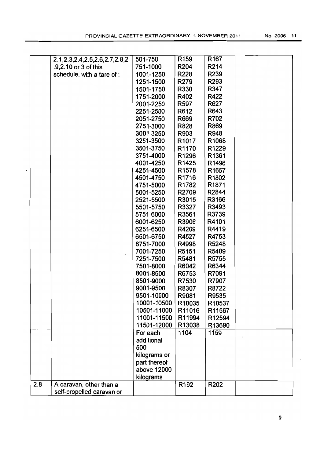|     | 2.1, 2.3, 2.4, 2.5, 2.6, 2.7, 2.8, 2 | 501-750      | R <sub>159</sub>  | R <sub>167</sub>  |  |
|-----|--------------------------------------|--------------|-------------------|-------------------|--|
|     | .9.2.10 or 3 of this                 | 751-1000     | R204              | R214              |  |
|     | schedule, with a tare of :           | 1001-1250    | R228              | R239              |  |
|     |                                      | 1251-1500    | R279              | R293              |  |
|     |                                      | 1501-1750    | R330              | R347              |  |
|     |                                      | 1751-2000    | R402              | R422              |  |
|     |                                      | 2001-2250    | R597              | R627              |  |
|     |                                      | 2251-2500    | R612              | R643              |  |
|     |                                      | 2051-2750    | R669              | R702              |  |
|     |                                      | 2751-3000    | R828              | R869              |  |
|     |                                      | 3001-3250    | R903              | R948              |  |
|     |                                      | 3251-3500    | R <sub>1017</sub> | R1068             |  |
|     |                                      | 3501-3750    | R <sub>1170</sub> | R1229             |  |
|     |                                      | 3751-4000    | R1296             | R1361             |  |
|     |                                      | 4001-4250    | R1425             | R1496             |  |
|     |                                      | 4251-4500    | R <sub>1578</sub> | R1657             |  |
|     |                                      | 4501-4750    | R1716             | R1802             |  |
|     |                                      | 4751-5000    | R1782             | R <sub>1871</sub> |  |
|     |                                      | 5001-5250    | R2709             | R2844             |  |
|     |                                      | 2521-5500    | R3015             | R3166             |  |
|     |                                      | 5501-5750    | R3327             | R3493             |  |
|     |                                      | 5751-6000    | R3561             | R3739             |  |
|     |                                      | 6001-6250    | R3906             | R4101             |  |
|     |                                      | 6251-6500    | R4209             | R4419             |  |
|     |                                      | 6501-6750    | R4527             | R4753             |  |
|     |                                      | 6751-7000    | R4998             | R5248             |  |
|     |                                      | 7001-7250    | R5151             | R5409             |  |
|     |                                      | 7251-7500    | R5481             | R5755             |  |
|     |                                      | 7501-8000    | R6042             | R6344             |  |
|     |                                      | 8001-8500    | R6753             | R7091             |  |
|     |                                      | 8501-9000    | R7530             | R7907             |  |
|     |                                      | 9001-9500    | R8307             | R8722             |  |
|     |                                      | 9501-10000   | R9081             | R9535             |  |
|     |                                      | 10001-10500  | R10035            | R10537            |  |
|     |                                      | 10501-11000  | R11016            | R11567            |  |
|     |                                      | 11001-11500  | R11994            | R12594            |  |
|     |                                      | 11501-12000  | R13038            | R13690            |  |
|     |                                      | For each     | 1104              | 1159              |  |
|     |                                      | additional   |                   |                   |  |
|     |                                      | 500          |                   |                   |  |
|     |                                      | kilograms or |                   |                   |  |
|     |                                      | part thereof |                   |                   |  |
|     |                                      | above 12000  |                   |                   |  |
|     |                                      | kilograms    |                   |                   |  |
| 2.8 | A caravan, other than a              |              | R <sub>192</sub>  | R202              |  |
|     | self-propelled caravan or            |              |                   |                   |  |
|     |                                      |              |                   |                   |  |

 $\overline{\phantom{a}}$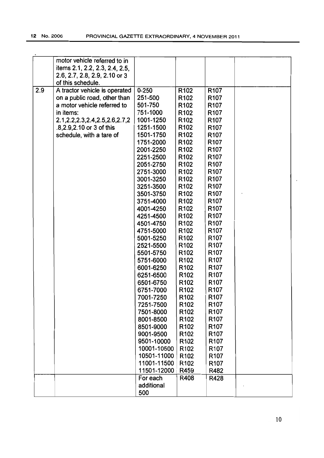|     | motor vehicle referred to in         |             |                  |                  |  |
|-----|--------------------------------------|-------------|------------------|------------------|--|
|     | items 2.1, 2.2, 2.3, 2.4, 2.5,       |             |                  |                  |  |
|     | 2.6, 2.7, 2.8, 2.9, 2.10 or 3        |             |                  |                  |  |
|     | of this schedule.                    |             |                  |                  |  |
| 2.9 | A tractor vehicle is operated        | $0 - 250$   | R <sub>102</sub> | R <sub>107</sub> |  |
|     | on a public road, other than         | 251-500     | R <sub>102</sub> | R <sub>107</sub> |  |
|     | a motor vehicle referred to          | 501-750     | R <sub>102</sub> | R <sub>107</sub> |  |
|     | in items:                            | 751-1000    | R <sub>102</sub> | R <sub>107</sub> |  |
|     | 2.1, 2.2, 2.3, 2.4, 2.5, 2.6, 2.7, 2 | 1001-1250   | R <sub>102</sub> | R <sub>107</sub> |  |
|     | .8, 2.9, 2.10 or 3 of this           | 1251-1500   | R <sub>102</sub> | R <sub>107</sub> |  |
|     | schedule, with a tare of             | 1501-1750   | R <sub>102</sub> | R <sub>107</sub> |  |
|     |                                      | 1751-2000   | R <sub>102</sub> | R <sub>107</sub> |  |
|     |                                      | 2001-2250   | R <sub>102</sub> | R <sub>107</sub> |  |
|     |                                      | 2251-2500   | R <sub>102</sub> | R <sub>107</sub> |  |
|     |                                      | 2051-2750   | R <sub>102</sub> | R <sub>107</sub> |  |
|     |                                      | 2751-3000   | R <sub>102</sub> | R <sub>107</sub> |  |
|     |                                      | 3001-3250   | R <sub>102</sub> | R <sub>107</sub> |  |
|     |                                      | 3251-3500   | R <sub>102</sub> | R <sub>107</sub> |  |
|     |                                      | 3501-3750   | R <sub>102</sub> | R <sub>107</sub> |  |
|     |                                      | 3751-4000   | R <sub>102</sub> | R <sub>107</sub> |  |
|     |                                      | 4001-4250   | R <sub>102</sub> | R <sub>107</sub> |  |
|     |                                      | 4251-4500   | R <sub>102</sub> | R <sub>107</sub> |  |
|     |                                      | 4501-4750   | R <sub>102</sub> | R <sub>107</sub> |  |
|     |                                      | 4751-5000   | R <sub>102</sub> | R <sub>107</sub> |  |
|     |                                      | 5001-5250   | R <sub>102</sub> | R <sub>107</sub> |  |
|     |                                      | 2521-5500   | R <sub>102</sub> | R <sub>107</sub> |  |
|     |                                      | 5501-5750   | R <sub>102</sub> | R <sub>107</sub> |  |
|     |                                      | 5751-6000   | R <sub>102</sub> | R <sub>107</sub> |  |
|     |                                      | 6001-6250   | R <sub>102</sub> | R <sub>107</sub> |  |
|     |                                      | 6251-6500   | R <sub>102</sub> | R <sub>107</sub> |  |
|     |                                      | 6501-6750   | R <sub>102</sub> | R <sub>107</sub> |  |
|     |                                      | 6751-7000   | R <sub>102</sub> | R <sub>107</sub> |  |
|     |                                      | 7001-7250   | R <sub>102</sub> | R <sub>107</sub> |  |
|     |                                      | 7251-7500   | R <sub>102</sub> | R <sub>107</sub> |  |
|     |                                      | 7501-8000   | R <sub>102</sub> | R <sub>107</sub> |  |
|     |                                      | 8001-8500   | R <sub>102</sub> | R <sub>107</sub> |  |
|     |                                      | 8501-9000   | R <sub>102</sub> | R <sub>107</sub> |  |
|     |                                      | 9001-9500   | R <sub>102</sub> | R <sub>107</sub> |  |
|     |                                      | 9501-10000  | R <sub>102</sub> | R <sub>107</sub> |  |
|     |                                      | 10001-10500 | R <sub>102</sub> | R <sub>107</sub> |  |
|     |                                      | 10501-11000 | R <sub>102</sub> | R <sub>107</sub> |  |
|     |                                      | 11001-11500 | R <sub>102</sub> |                  |  |
|     |                                      |             |                  | R <sub>107</sub> |  |
|     |                                      | 11501-12000 | R459             | R482             |  |
|     |                                      | For each    | R408             | R428             |  |
|     |                                      | additional  |                  |                  |  |
|     |                                      | 500         |                  |                  |  |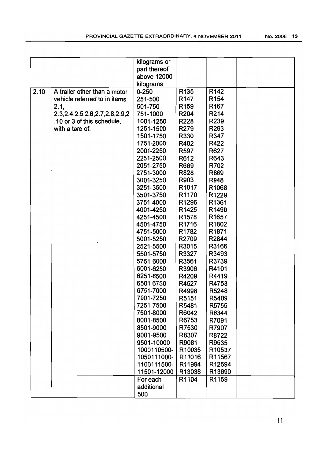|      |                                                                                                                                                               | kilograms or<br>part thereof<br>above 12000<br>kilograms                                                                                                                                                                                                                                                                                                                                                                                                                                                                    |                                                                                                                                                                                                                                                                                                                                                                                                                       |                                                                                                                                                                                                                                                                                                                                                                                                                            |  |
|------|---------------------------------------------------------------------------------------------------------------------------------------------------------------|-----------------------------------------------------------------------------------------------------------------------------------------------------------------------------------------------------------------------------------------------------------------------------------------------------------------------------------------------------------------------------------------------------------------------------------------------------------------------------------------------------------------------------|-----------------------------------------------------------------------------------------------------------------------------------------------------------------------------------------------------------------------------------------------------------------------------------------------------------------------------------------------------------------------------------------------------------------------|----------------------------------------------------------------------------------------------------------------------------------------------------------------------------------------------------------------------------------------------------------------------------------------------------------------------------------------------------------------------------------------------------------------------------|--|
| 2.10 | A trailer other than a motor<br>vehicle referred to in items<br>2.1,<br>2.3, 2.4, 2.5, 2.6, 2.7, 2.8, 2.9, 2<br>.10 or 3 of this schedule,<br>with a tare of: | $0 - 250$<br>251-500<br>501-750<br>751-1000<br>1001-1250<br>1251-1500<br>1501-1750<br>1751-2000<br>2001-2250<br>2251-2500<br>2051-2750<br>2751-3000<br>3001-3250<br>3251-3500<br>3501-3750<br>3751-4000<br>4001-4250<br>4251-4500<br>4501-4750<br>4751-5000<br>5001-5250<br>2521-5500<br>5501-5750<br>5751-6000<br>6001-6250<br>6251-6500<br>6501-6750<br>6751-7000<br>7001-7250<br>7251-7500<br>7501-8000<br>8001-8500<br>8501-9000<br>9001-9500<br>9501-10000<br>1000110500-<br>1050111000-<br>1100111500-<br>11501-12000 | R135<br>R <sub>147</sub><br>R <sub>159</sub><br>R204<br>R228<br>R279<br>R330<br>R402<br>R597<br>R612<br>R669<br><b>R828</b><br>R903<br>R <sub>1017</sub><br>R1170<br>R1296<br>R1425<br>R <sub>1578</sub><br>R <sub>1716</sub><br>R1782<br>R2709<br>R3015<br>R3327<br>R3561<br>R3906<br>R4209<br>R4527<br>R4998<br>R5151<br>R5481<br>R6042<br>R6753<br>R7530<br>R8307<br>R9081<br>R10035<br>R11016<br>R11994<br>R13038 | R <sub>142</sub><br>R <sub>154</sub><br>R <sub>167</sub><br>R214<br>R239<br>R293<br>R347<br>R422<br>R627<br>R643<br>R702<br>R869<br>R948<br>R <sub>1068</sub><br>R1229<br>R1361<br>R1496<br>R <sub>1657</sub><br>R1802<br>R <sub>1871</sub><br>R2844<br>R3166<br>R3493<br>R3739<br>R4101<br>R4419<br>R4753<br>R5248<br>R5409<br>R5755<br>R6344<br>R7091<br>R7907<br>R8722<br>R9535<br>R10537<br>R11567<br>R12594<br>R13690 |  |
|      |                                                                                                                                                               | For each<br>additional<br>500                                                                                                                                                                                                                                                                                                                                                                                                                                                                                               | R1104                                                                                                                                                                                                                                                                                                                                                                                                                 | R1159                                                                                                                                                                                                                                                                                                                                                                                                                      |  |